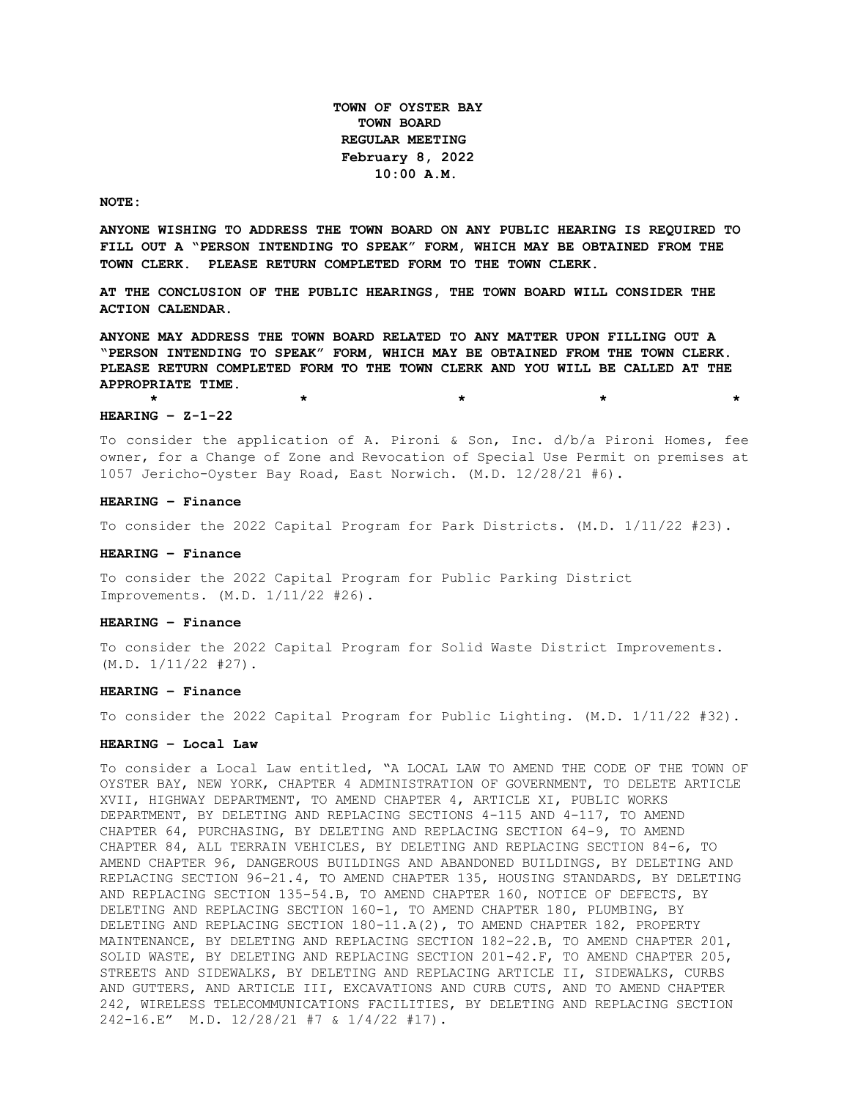**TOWN OF OYSTER BAY TOWN BOARD REGULAR MEETING February 8, 2022 10:00 A.M.** 

#### **NOTE:**

**ANYONE WISHING TO ADDRESS THE TOWN BOARD ON ANY PUBLIC HEARING IS REQUIRED TO FILL OUT A "PERSON INTENDING TO SPEAK" FORM, WHICH MAY BE OBTAINED FROM THE TOWN CLERK. PLEASE RETURN COMPLETED FORM TO THE TOWN CLERK.**

**AT THE CONCLUSION OF THE PUBLIC HEARINGS, THE TOWN BOARD WILL CONSIDER THE ACTION CALENDAR.**

**ANYONE MAY ADDRESS THE TOWN BOARD RELATED TO ANY MATTER UPON FILLING OUT A "PERSON INTENDING TO SPEAK" FORM, WHICH MAY BE OBTAINED FROM THE TOWN CLERK. PLEASE RETURN COMPLETED FORM TO THE TOWN CLERK AND YOU WILL BE CALLED AT THE APPROPRIATE TIME.**

#### **HEARING – Z-1-22**

To consider the application of A. Pironi & Son, Inc. d/b/a Pironi Homes, fee owner, for a Change of Zone and Revocation of Special Use Permit on premises at 1057 Jericho-Oyster Bay Road, East Norwich. (M.D. 12/28/21 #6).

**\* \* \* \* \***

### **HEARING – Finance**

To consider the 2022 Capital Program for Park Districts. (M.D. 1/11/22 #23).

### **HEARING – Finance**

To consider the 2022 Capital Program for Public Parking District Improvements. (M.D. 1/11/22 #26).

#### **HEARING – Finance**

To consider the 2022 Capital Program for Solid Waste District Improvements. (M.D. 1/11/22 #27).

#### **HEARING – Finance**

To consider the 2022 Capital Program for Public Lighting. (M.D. 1/11/22 #32).

### **HEARING – Local Law**

To consider a Local Law entitled, "A LOCAL LAW TO AMEND THE CODE OF THE TOWN OF OYSTER BAY, NEW YORK, CHAPTER 4 ADMINISTRATION OF GOVERNMENT, TO DELETE ARTICLE XVII, HIGHWAY DEPARTMENT, TO AMEND CHAPTER 4, ARTICLE XI, PUBLIC WORKS DEPARTMENT, BY DELETING AND REPLACING SECTIONS 4-115 AND 4-117, TO AMEND CHAPTER 64, PURCHASING, BY DELETING AND REPLACING SECTION 64-9, TO AMEND CHAPTER 84, ALL TERRAIN VEHICLES, BY DELETING AND REPLACING SECTION 84-6, TO AMEND CHAPTER 96, DANGEROUS BUILDINGS AND ABANDONED BUILDINGS, BY DELETING AND REPLACING SECTION 96-21.4, TO AMEND CHAPTER 135, HOUSING STANDARDS, BY DELETING AND REPLACING SECTION 135-54.B, TO AMEND CHAPTER 160, NOTICE OF DEFECTS, BY DELETING AND REPLACING SECTION 160-1, TO AMEND CHAPTER 180, PLUMBING, BY DELETING AND REPLACING SECTION 180-11.A(2), TO AMEND CHAPTER 182, PROPERTY MAINTENANCE, BY DELETING AND REPLACING SECTION 182-22.B, TO AMEND CHAPTER 201, SOLID WASTE, BY DELETING AND REPLACING SECTION 201-42.F, TO AMEND CHAPTER 205, STREETS AND SIDEWALKS, BY DELETING AND REPLACING ARTICLE II, SIDEWALKS, CURBS AND GUTTERS, AND ARTICLE III, EXCAVATIONS AND CURB CUTS, AND TO AMEND CHAPTER 242, WIRELESS TELECOMMUNICATIONS FACILITIES, BY DELETING AND REPLACING SECTION 242-16.E" M.D. 12/28/21 #7 & 1/4/22 #17).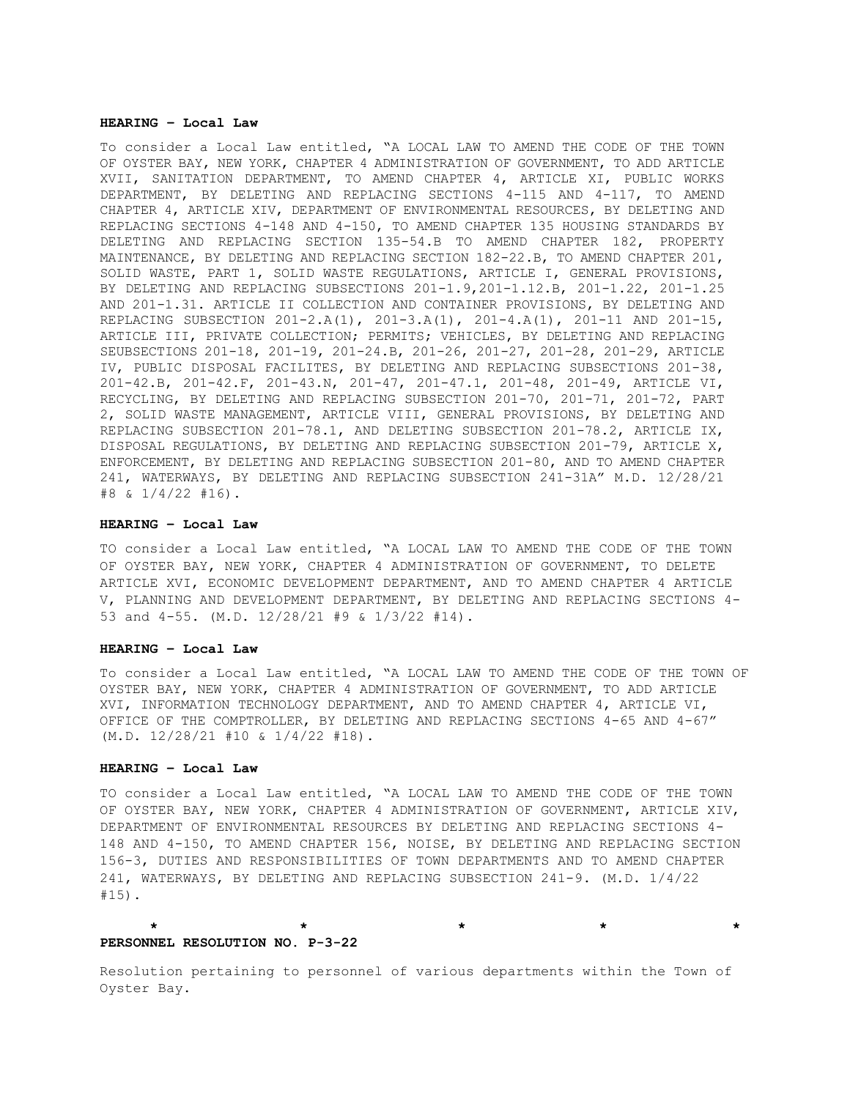### **HEARING – Local Law**

To consider a Local Law entitled, "A LOCAL LAW TO AMEND THE CODE OF THE TOWN OF OYSTER BAY, NEW YORK, CHAPTER 4 ADMINISTRATION OF GOVERNMENT, TO ADD ARTICLE XVII, SANITATION DEPARTMENT, TO AMEND CHAPTER 4, ARTICLE XI, PUBLIC WORKS DEPARTMENT, BY DELETING AND REPLACING SECTIONS 4-115 AND 4-117, TO AMEND CHAPTER 4, ARTICLE XIV, DEPARTMENT OF ENVIRONMENTAL RESOURCES, BY DELETING AND REPLACING SECTIONS 4-148 AND 4-150, TO AMEND CHAPTER 135 HOUSING STANDARDS BY DELETING AND REPLACING SECTION 135-54.B TO AMEND CHAPTER 182, PROPERTY MAINTENANCE, BY DELETING AND REPLACING SECTION 182-22.B, TO AMEND CHAPTER 201, SOLID WASTE, PART 1, SOLID WASTE REGULATIONS, ARTICLE I, GENERAL PROVISIONS, BY DELETING AND REPLACING SUBSECTIONS 201-1.9,201-1.12.B, 201-1.22, 201-1.25 AND 201-1.31. ARTICLE II COLLECTION AND CONTAINER PROVISIONS, BY DELETING AND REPLACING SUBSECTION 201-2.A(1), 201-3.A(1), 201-4.A(1), 201-11 AND 201-15, ARTICLE III, PRIVATE COLLECTION; PERMITS; VEHICLES, BY DELETING AND REPLACING SEUBSECTIONS 201-18, 201-19, 201-24.B, 201-26, 201-27, 201-28, 201-29, ARTICLE IV, PUBLIC DISPOSAL FACILITES, BY DELETING AND REPLACING SUBSECTIONS 201-38, 201-42.B, 201-42.F, 201-43.N, 201-47, 201-47.1, 201-48, 201-49, ARTICLE VI, RECYCLING, BY DELETING AND REPLACING SUBSECTION 201-70, 201-71, 201-72, PART 2, SOLID WASTE MANAGEMENT, ARTICLE VIII, GENERAL PROVISIONS, BY DELETING AND REPLACING SUBSECTION 201-78.1, AND DELETING SUBSECTION 201-78.2, ARTICLE IX, DISPOSAL REGULATIONS, BY DELETING AND REPLACING SUBSECTION 201-79, ARTICLE X, ENFORCEMENT, BY DELETING AND REPLACING SUBSECTION 201-80, AND TO AMEND CHAPTER 241, WATERWAYS, BY DELETING AND REPLACING SUBSECTION 241-31A" M.D. 12/28/21  $#8 \& 1/4/22 \#16$ .

## **HEARING – Local Law**

TO consider a Local Law entitled, "A LOCAL LAW TO AMEND THE CODE OF THE TOWN OF OYSTER BAY, NEW YORK, CHAPTER 4 ADMINISTRATION OF GOVERNMENT, TO DELETE ARTICLE XVI, ECONOMIC DEVELOPMENT DEPARTMENT, AND TO AMEND CHAPTER 4 ARTICLE V, PLANNING AND DEVELOPMENT DEPARTMENT, BY DELETING AND REPLACING SECTIONS 4- 53 and 4-55. (M.D. 12/28/21 #9 & 1/3/22 #14).

### **HEARING – Local Law**

To consider a Local Law entitled, "A LOCAL LAW TO AMEND THE CODE OF THE TOWN OF OYSTER BAY, NEW YORK, CHAPTER 4 ADMINISTRATION OF GOVERNMENT, TO ADD ARTICLE XVI, INFORMATION TECHNOLOGY DEPARTMENT, AND TO AMEND CHAPTER 4, ARTICLE VI, OFFICE OF THE COMPTROLLER, BY DELETING AND REPLACING SECTIONS 4-65 AND 4-67" (M.D. 12/28/21 #10 & 1/4/22 #18).

### **HEARING – Local Law**

TO consider a Local Law entitled, "A LOCAL LAW TO AMEND THE CODE OF THE TOWN OF OYSTER BAY, NEW YORK, CHAPTER 4 ADMINISTRATION OF GOVERNMENT, ARTICLE XIV, DEPARTMENT OF ENVIRONMENTAL RESOURCES BY DELETING AND REPLACING SECTIONS 4- 148 AND 4-150, TO AMEND CHAPTER 156, NOISE, BY DELETING AND REPLACING SECTION 156-3, DUTIES AND RESPONSIBILITIES OF TOWN DEPARTMENTS AND TO AMEND CHAPTER 241, WATERWAYS, BY DELETING AND REPLACING SUBSECTION 241-9. (M.D. 1/4/22 #15).

#### **\* \* \* \* \* PERSONNEL RESOLUTION NO. P-3-22**

Resolution pertaining to personnel of various departments within the Town of Oyster Bay.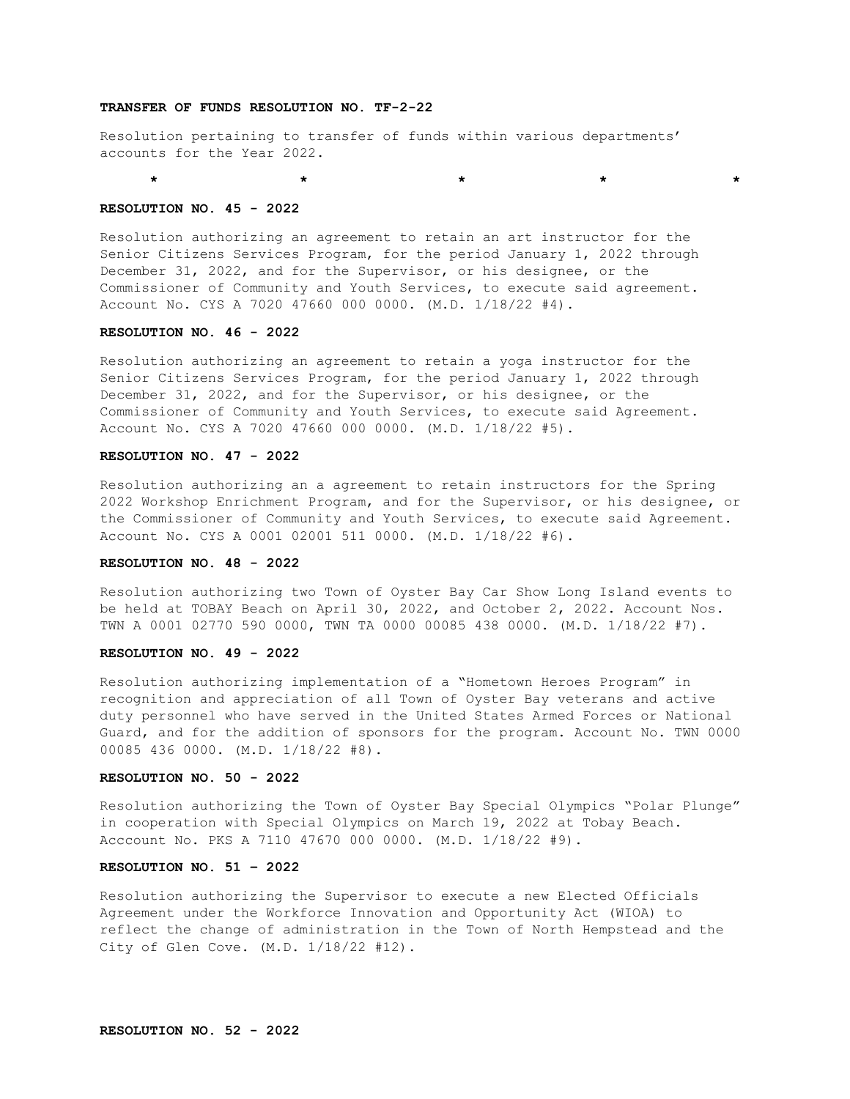### **TRANSFER OF FUNDS RESOLUTION NO. TF-2-22**

Resolution pertaining to transfer of funds within various departments' accounts for the Year 2022.

\* \* \* \* \* \* \* \* \* \* \*

#### **RESOLUTION NO. 45 - 2022**

Resolution authorizing an agreement to retain an art instructor for the Senior Citizens Services Program, for the period January 1, 2022 through December 31, 2022, and for the Supervisor, or his designee, or the Commissioner of Community and Youth Services, to execute said agreement. Account No. CYS A 7020 47660 000 0000. (M.D. 1/18/22 #4).

### **RESOLUTION NO. 46 - 2022**

Resolution authorizing an agreement to retain a yoga instructor for the Senior Citizens Services Program, for the period January 1, 2022 through December 31, 2022, and for the Supervisor, or his designee, or the Commissioner of Community and Youth Services, to execute said Agreement. Account No. CYS A 7020 47660 000 0000. (M.D. 1/18/22 #5).

# **RESOLUTION NO. 47 - 2022**

Resolution authorizing an a agreement to retain instructors for the Spring 2022 Workshop Enrichment Program, and for the Supervisor, or his designee, or the Commissioner of Community and Youth Services, to execute said Agreement. Account No. CYS A 0001 02001 511 0000. (M.D. 1/18/22 #6).

#### **RESOLUTION NO. 48 - 2022**

Resolution authorizing two Town of Oyster Bay Car Show Long Island events to be held at TOBAY Beach on April 30, 2022, and October 2, 2022. Account Nos. TWN A 0001 02770 590 0000, TWN TA 0000 00085 438 0000. (M.D. 1/18/22 #7).

#### **RESOLUTION NO. 49 - 2022**

Resolution authorizing implementation of a "Hometown Heroes Program" in recognition and appreciation of all Town of Oyster Bay veterans and active duty personnel who have served in the United States Armed Forces or National Guard, and for the addition of sponsors for the program. Account No. TWN 0000 00085 436 0000. (M.D. 1/18/22 #8).

# **RESOLUTION NO. 50 - 2022**

Resolution authorizing the Town of Oyster Bay Special Olympics "Polar Plunge" in cooperation with Special Olympics on March 19, 2022 at Tobay Beach. Acccount No. PKS A 7110 47670 000 0000. (M.D. 1/18/22 #9).

## **RESOLUTION NO. 51 – 2022**

Resolution authorizing the Supervisor to execute a new Elected Officials Agreement under the Workforce Innovation and Opportunity Act (WIOA) to reflect the change of administration in the Town of North Hempstead and the City of Glen Cove. (M.D. 1/18/22 #12).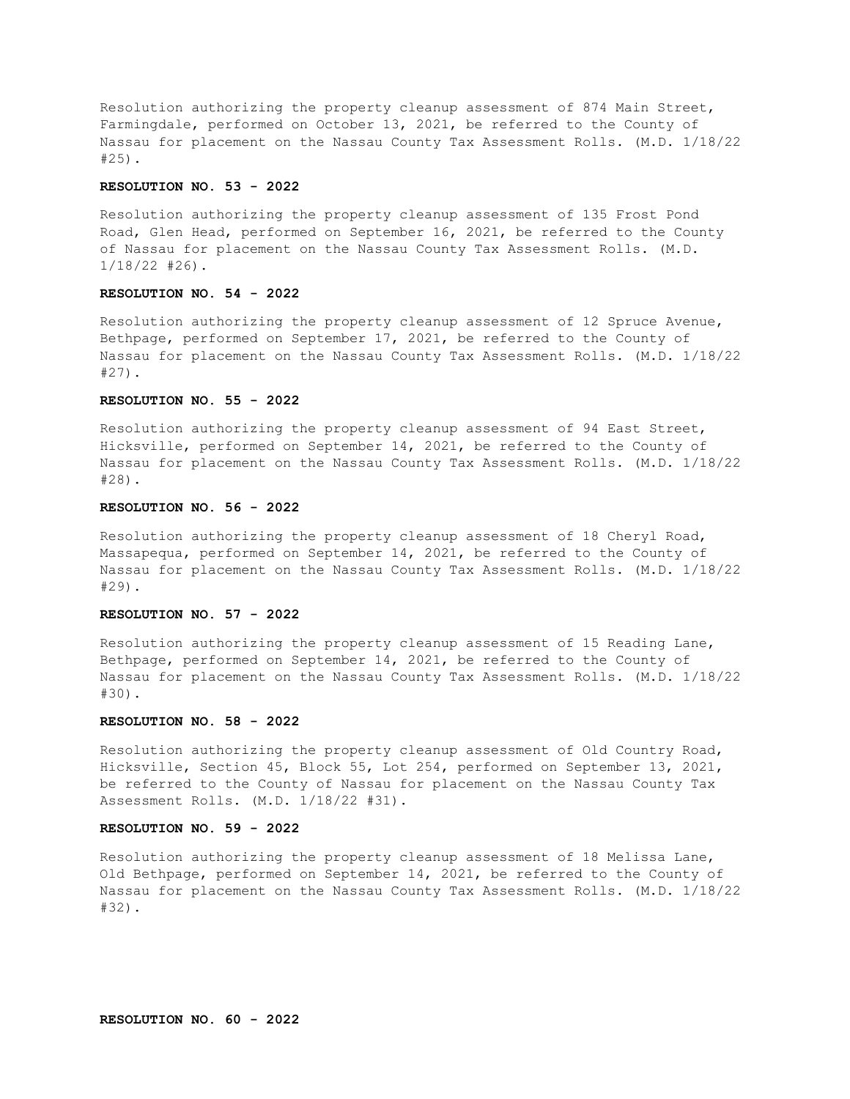Resolution authorizing the property cleanup assessment of 874 Main Street, Farmingdale, performed on October 13, 2021, be referred to the County of Nassau for placement on the Nassau County Tax Assessment Rolls. (M.D. 1/18/22 #25).

#### **RESOLUTION NO. 53 - 2022**

Resolution authorizing the property cleanup assessment of 135 Frost Pond Road, Glen Head, performed on September 16, 2021, be referred to the County of Nassau for placement on the Nassau County Tax Assessment Rolls. (M.D. 1/18/22 #26).

#### **RESOLUTION NO. 54 - 2022**

Resolution authorizing the property cleanup assessment of 12 Spruce Avenue, Bethpage, performed on September 17, 2021, be referred to the County of Nassau for placement on the Nassau County Tax Assessment Rolls. (M.D. 1/18/22 #27).

#### **RESOLUTION NO. 55 - 2022**

Resolution authorizing the property cleanup assessment of 94 East Street, Hicksville, performed on September 14, 2021, be referred to the County of Nassau for placement on the Nassau County Tax Assessment Rolls. (M.D. 1/18/22 #28).

# **RESOLUTION NO. 56 - 2022**

Resolution authorizing the property cleanup assessment of 18 Cheryl Road, Massapequa, performed on September 14, 2021, be referred to the County of Nassau for placement on the Nassau County Tax Assessment Rolls. (M.D. 1/18/22 #29).

# **RESOLUTION NO. 57 - 2022**

Resolution authorizing the property cleanup assessment of 15 Reading Lane, Bethpage, performed on September 14, 2021, be referred to the County of Nassau for placement on the Nassau County Tax Assessment Rolls. (M.D. 1/18/22 #30).

#### **RESOLUTION NO. 58 - 2022**

Resolution authorizing the property cleanup assessment of Old Country Road, Hicksville, Section 45, Block 55, Lot 254, performed on September 13, 2021, be referred to the County of Nassau for placement on the Nassau County Tax Assessment Rolls. (M.D. 1/18/22 #31).

### **RESOLUTION NO. 59 - 2022**

Resolution authorizing the property cleanup assessment of 18 Melissa Lane, Old Bethpage, performed on September 14, 2021, be referred to the County of Nassau for placement on the Nassau County Tax Assessment Rolls. (M.D. 1/18/22 #32).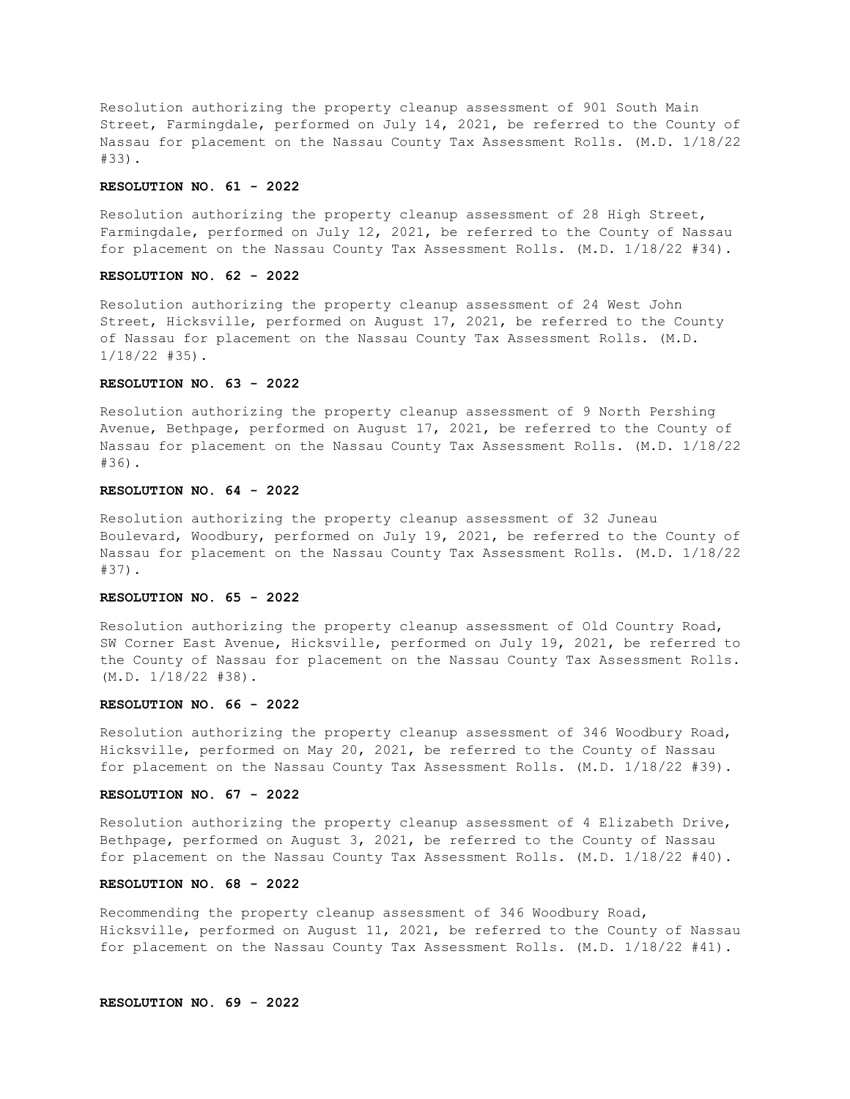Resolution authorizing the property cleanup assessment of 901 South Main Street, Farmingdale, performed on July 14, 2021, be referred to the County of Nassau for placement on the Nassau County Tax Assessment Rolls. (M.D. 1/18/22 #33).

#### **RESOLUTION NO. 61 - 2022**

Resolution authorizing the property cleanup assessment of 28 High Street, Farmingdale, performed on July 12, 2021, be referred to the County of Nassau for placement on the Nassau County Tax Assessment Rolls. (M.D. 1/18/22 #34).

### **RESOLUTION NO. 62 - 2022**

Resolution authorizing the property cleanup assessment of 24 West John Street, Hicksville, performed on August 17, 2021, be referred to the County of Nassau for placement on the Nassau County Tax Assessment Rolls. (M.D. 1/18/22 #35).

### **RESOLUTION NO. 63 - 2022**

Resolution authorizing the property cleanup assessment of 9 North Pershing Avenue, Bethpage, performed on August 17, 2021, be referred to the County of Nassau for placement on the Nassau County Tax Assessment Rolls. (M.D. 1/18/22 #36).

### **RESOLUTION NO. 64 - 2022**

Resolution authorizing the property cleanup assessment of 32 Juneau Boulevard, Woodbury, performed on July 19, 2021, be referred to the County of Nassau for placement on the Nassau County Tax Assessment Rolls. (M.D. 1/18/22 #37).

### **RESOLUTION NO. 65 - 2022**

Resolution authorizing the property cleanup assessment of Old Country Road, SW Corner East Avenue, Hicksville, performed on July 19, 2021, be referred to the County of Nassau for placement on the Nassau County Tax Assessment Rolls. (M.D. 1/18/22 #38).

#### **RESOLUTION NO. 66 - 2022**

Resolution authorizing the property cleanup assessment of 346 Woodbury Road, Hicksville, performed on May 20, 2021, be referred to the County of Nassau for placement on the Nassau County Tax Assessment Rolls. (M.D. 1/18/22 #39).

### **RESOLUTION NO. 67 - 2022**

Resolution authorizing the property cleanup assessment of 4 Elizabeth Drive, Bethpage, performed on August 3, 2021, be referred to the County of Nassau for placement on the Nassau County Tax Assessment Rolls. (M.D. 1/18/22 #40).

# **RESOLUTION NO. 68 - 2022**

Recommending the property cleanup assessment of 346 Woodbury Road, Hicksville, performed on August 11, 2021, be referred to the County of Nassau for placement on the Nassau County Tax Assessment Rolls. (M.D. 1/18/22 #41).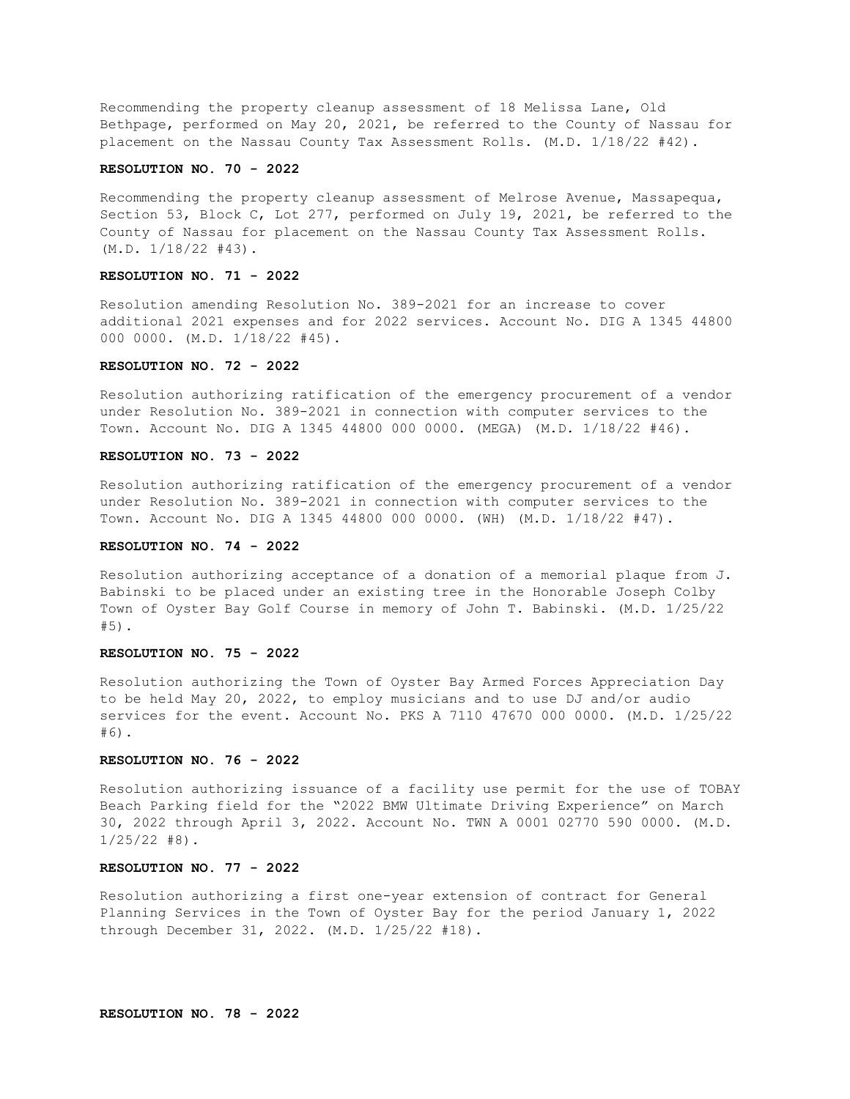Recommending the property cleanup assessment of 18 Melissa Lane, Old Bethpage, performed on May 20, 2021, be referred to the County of Nassau for placement on the Nassau County Tax Assessment Rolls. (M.D. 1/18/22 #42).

### **RESOLUTION NO. 70 - 2022**

Recommending the property cleanup assessment of Melrose Avenue, Massapequa, Section 53, Block C, Lot 277, performed on July 19, 2021, be referred to the County of Nassau for placement on the Nassau County Tax Assessment Rolls. (M.D. 1/18/22 #43).

# **RESOLUTION NO. 71 - 2022**

Resolution amending Resolution No. 389-2021 for an increase to cover additional 2021 expenses and for 2022 services. Account No. DIG A 1345 44800 000 0000. (M.D. 1/18/22 #45).

# **RESOLUTION NO. 72 - 2022**

Resolution authorizing ratification of the emergency procurement of a vendor under Resolution No. 389-2021 in connection with computer services to the Town. Account No. DIG A 1345 44800 000 0000. (MEGA) (M.D. 1/18/22 #46).

### **RESOLUTION NO. 73 - 2022**

Resolution authorizing ratification of the emergency procurement of a vendor under Resolution No. 389-2021 in connection with computer services to the Town. Account No. DIG A 1345 44800 000 0000. (WH) (M.D. 1/18/22 #47).

### **RESOLUTION NO. 74 - 2022**

Resolution authorizing acceptance of a donation of a memorial plaque from J. Babinski to be placed under an existing tree in the Honorable Joseph Colby Town of Oyster Bay Golf Course in memory of John T. Babinski. (M.D. 1/25/22 #5).

#### **RESOLUTION NO. 75 - 2022**

Resolution authorizing the Town of Oyster Bay Armed Forces Appreciation Day to be held May 20, 2022, to employ musicians and to use DJ and/or audio services for the event. Account No. PKS A 7110 47670 000 0000. (M.D. 1/25/22 #6).

# **RESOLUTION NO. 76 - 2022**

Resolution authorizing issuance of a facility use permit for the use of TOBAY Beach Parking field for the "2022 BMW Ultimate Driving Experience" on March 30, 2022 through April 3, 2022. Account No. TWN A 0001 02770 590 0000. (M.D.  $1/25/22$  #8).

## **RESOLUTION NO. 77 - 2022**

Resolution authorizing a first one-year extension of contract for General Planning Services in the Town of Oyster Bay for the period January 1, 2022 through December 31, 2022. (M.D. 1/25/22 #18).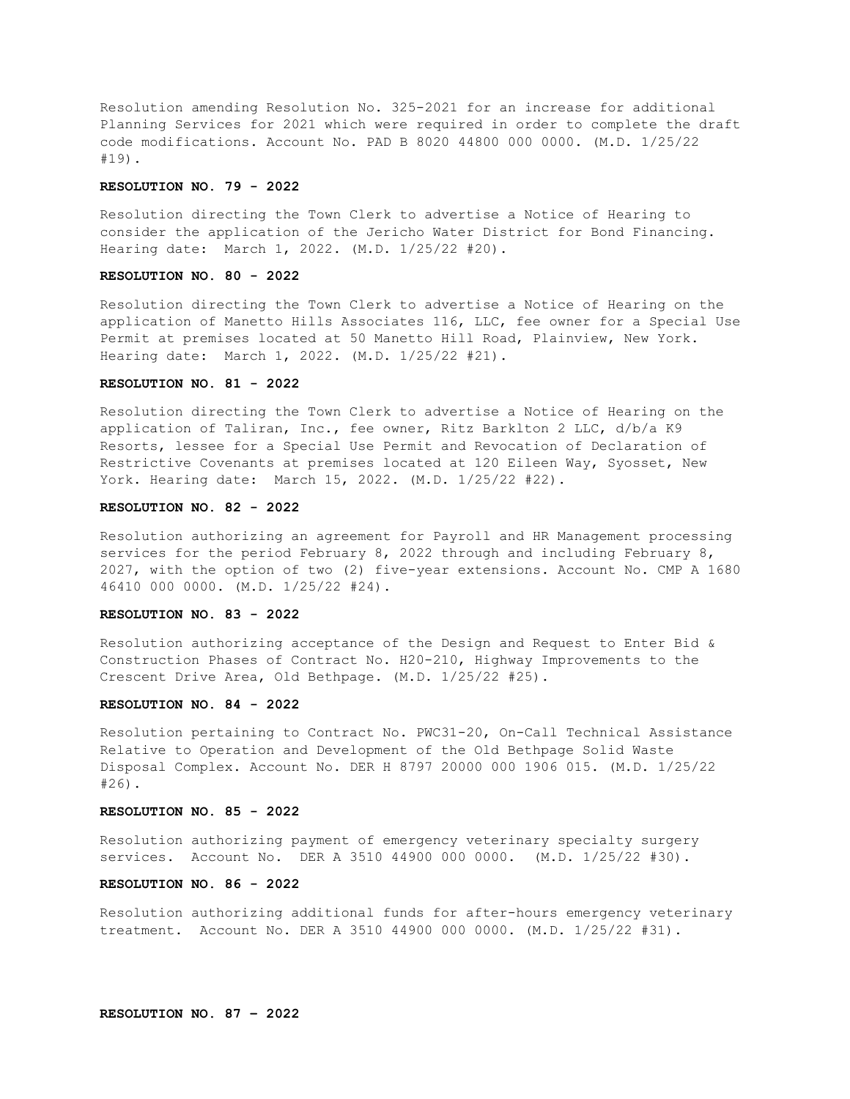Resolution amending Resolution No. 325-2021 for an increase for additional Planning Services for 2021 which were required in order to complete the draft code modifications. Account No. PAD B 8020 44800 000 0000. (M.D. 1/25/22 #19).

#### **RESOLUTION NO. 79 - 2022**

Resolution directing the Town Clerk to advertise a Notice of Hearing to consider the application of the Jericho Water District for Bond Financing. Hearing date: March 1, 2022. (M.D. 1/25/22 #20).

# **RESOLUTION NO. 80 - 2022**

Resolution directing the Town Clerk to advertise a Notice of Hearing on the application of Manetto Hills Associates 116, LLC, fee owner for a Special Use Permit at premises located at 50 Manetto Hill Road, Plainview, New York. Hearing date: March 1, 2022. (M.D. 1/25/22 #21).

### **RESOLUTION NO. 81 - 2022**

Resolution directing the Town Clerk to advertise a Notice of Hearing on the application of Taliran, Inc., fee owner, Ritz Barklton 2 LLC, d/b/a K9 Resorts, lessee for a Special Use Permit and Revocation of Declaration of Restrictive Covenants at premises located at 120 Eileen Way, Syosset, New York. Hearing date: March 15, 2022. (M.D. 1/25/22 #22).

## **RESOLUTION NO. 82 - 2022**

Resolution authorizing an agreement for Payroll and HR Management processing services for the period February 8, 2022 through and including February 8, 2027, with the option of two (2) five-year extensions. Account No. CMP A 1680 46410 000 0000. (M.D. 1/25/22 #24).

### **RESOLUTION NO. 83 - 2022**

Resolution authorizing acceptance of the Design and Request to Enter Bid & Construction Phases of Contract No. H20-210, Highway Improvements to the Crescent Drive Area, Old Bethpage. (M.D. 1/25/22 #25).

#### **RESOLUTION NO. 84 - 2022**

Resolution pertaining to Contract No. PWC31-20, On-Call Technical Assistance Relative to Operation and Development of the Old Bethpage Solid Waste Disposal Complex. Account No. DER H 8797 20000 000 1906 015. (M.D. 1/25/22 #26).

# **RESOLUTION NO. 85 - 2022**

Resolution authorizing payment of emergency veterinary specialty surgery services. Account No. DER A 3510 44900 000 0000. (M.D. 1/25/22 #30).

# **RESOLUTION NO. 86 - 2022**

Resolution authorizing additional funds for after-hours emergency veterinary treatment. Account No. DER A 3510 44900 000 0000. (M.D. 1/25/22 #31).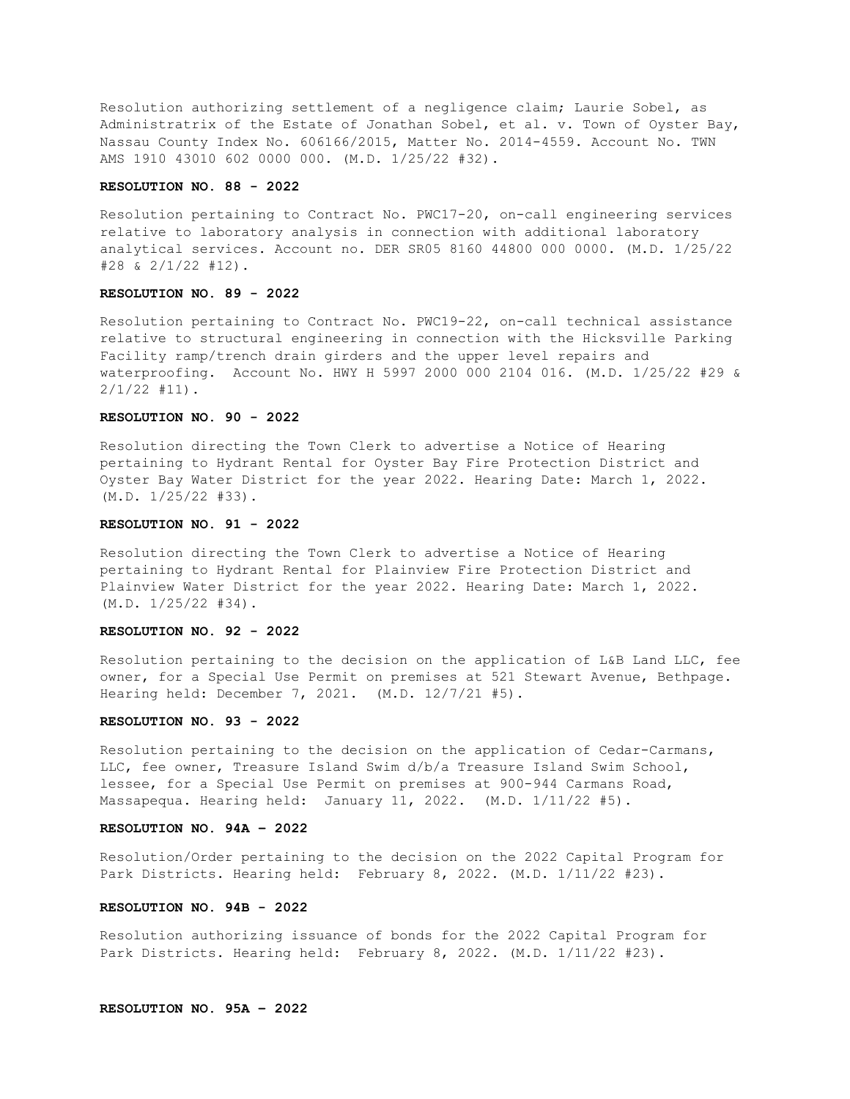Resolution authorizing settlement of a negligence claim; Laurie Sobel, as Administratrix of the Estate of Jonathan Sobel, et al. v. Town of Oyster Bay, Nassau County Index No. 606166/2015, Matter No. 2014-4559. Account No. TWN AMS 1910 43010 602 0000 000. (M.D. 1/25/22 #32).

#### **RESOLUTION NO. 88 - 2022**

Resolution pertaining to Contract No. PWC17-20, on-call engineering services relative to laboratory analysis in connection with additional laboratory analytical services. Account no. DER SR05 8160 44800 000 0000. (M.D. 1/25/22 #28 & 2/1/22 #12).

#### **RESOLUTION NO. 89 - 2022**

Resolution pertaining to Contract No. PWC19-22, on-call technical assistance relative to structural engineering in connection with the Hicksville Parking Facility ramp/trench drain girders and the upper level repairs and waterproofing. Account No. HWY H 5997 2000 000 2104 016. (M.D. 1/25/22 #29 & 2/1/22 #11).

## **RESOLUTION NO. 90 - 2022**

Resolution directing the Town Clerk to advertise a Notice of Hearing pertaining to Hydrant Rental for Oyster Bay Fire Protection District and Oyster Bay Water District for the year 2022. Hearing Date: March 1, 2022. (M.D. 1/25/22 #33).

### **RESOLUTION NO. 91 - 2022**

Resolution directing the Town Clerk to advertise a Notice of Hearing pertaining to Hydrant Rental for Plainview Fire Protection District and Plainview Water District for the year 2022. Hearing Date: March 1, 2022. (M.D. 1/25/22 #34).

#### **RESOLUTION NO. 92 - 2022**

Resolution pertaining to the decision on the application of L&B Land LLC, fee owner, for a Special Use Permit on premises at 521 Stewart Avenue, Bethpage. Hearing held: December 7, 2021. (M.D. 12/7/21 #5).

#### **RESOLUTION NO. 93 - 2022**

Resolution pertaining to the decision on the application of Cedar-Carmans, LLC, fee owner, Treasure Island Swim d/b/a Treasure Island Swim School, lessee, for a Special Use Permit on premises at 900-944 Carmans Road, Massapequa. Hearing held: January 11, 2022. (M.D. 1/11/22 #5).

### **RESOLUTION NO. 94A – 2022**

Resolution/Order pertaining to the decision on the 2022 Capital Program for Park Districts. Hearing held: February 8, 2022. (M.D. 1/11/22 #23).

## **RESOLUTION NO. 94B - 2022**

Resolution authorizing issuance of bonds for the 2022 Capital Program for Park Districts. Hearing held: February 8, 2022. (M.D. 1/11/22 #23).

## **RESOLUTION NO. 95A – 2022**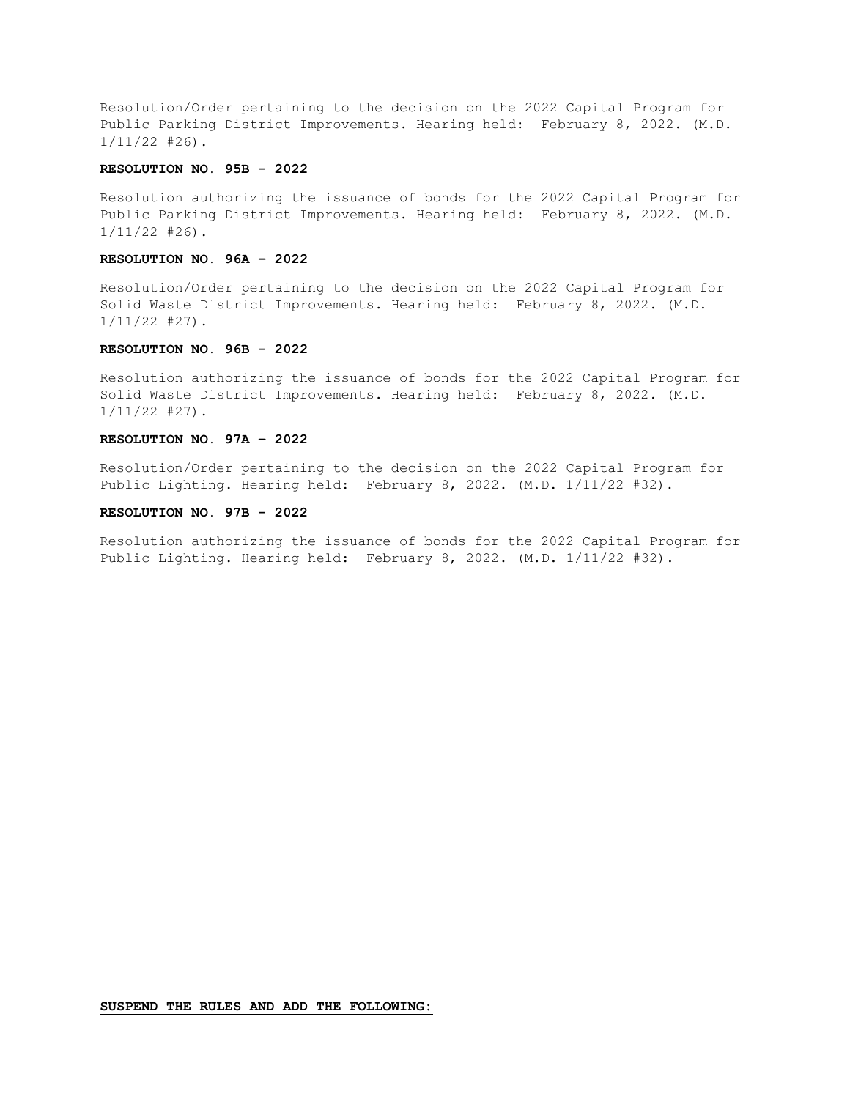Resolution/Order pertaining to the decision on the 2022 Capital Program for Public Parking District Improvements. Hearing held: February 8, 2022. (M.D. 1/11/22 #26).

# **RESOLUTION NO. 95B - 2022**

Resolution authorizing the issuance of bonds for the 2022 Capital Program for Public Parking District Improvements. Hearing held: February 8, 2022. (M.D. 1/11/22 #26).

## **RESOLUTION NO. 96A – 2022**

Resolution/Order pertaining to the decision on the 2022 Capital Program for Solid Waste District Improvements. Hearing held: February 8, 2022. (M.D. 1/11/22 #27).

## **RESOLUTION NO. 96B - 2022**

Resolution authorizing the issuance of bonds for the 2022 Capital Program for Solid Waste District Improvements. Hearing held: February 8, 2022. (M.D. 1/11/22 #27).

### **RESOLUTION NO. 97A – 2022**

Resolution/Order pertaining to the decision on the 2022 Capital Program for Public Lighting. Hearing held: February 8, 2022. (M.D. 1/11/22 #32).

# **RESOLUTION NO. 97B - 2022**

Resolution authorizing the issuance of bonds for the 2022 Capital Program for Public Lighting. Hearing held: February 8, 2022. (M.D. 1/11/22 #32).